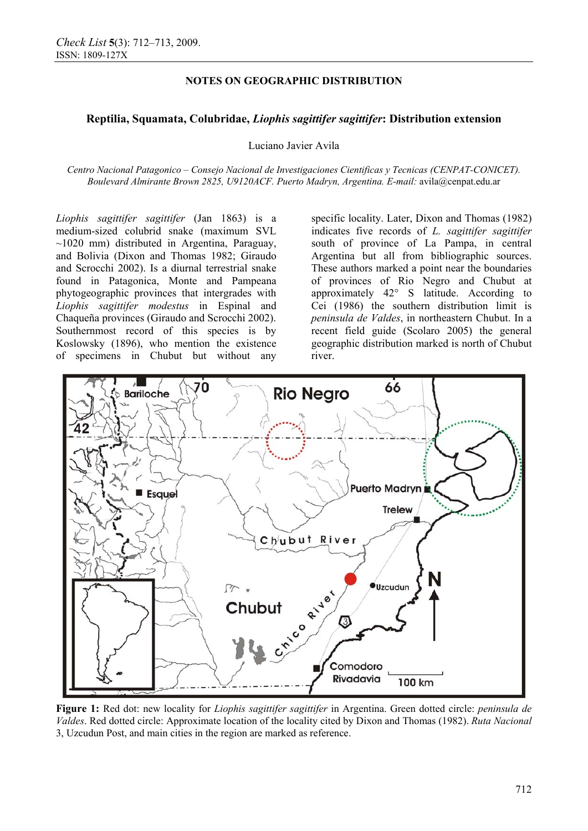# **NOTES ON GEOGRAPHIC DISTRIBUTION**

# **Reptilia, Squamata, Colubridae,** *Liophis sagittifer sagittifer***: Distribution extension**

Luciano Javier Avila

*Centro Nacional Patagonico – Consejo Nacional de Investigaciones Cientificas y Tecnicas (CENPAT-CONICET). Boulevard Almirante Brown 2825, U9120ACF. Puerto Madryn, Argentina. E-mail:* avila@cenpat.edu.ar

*Liophis sagittifer sagittifer* (Jan 1863) is a medium-sized colubrid snake (maximum SVL  $\sim$ 1020 mm) distributed in Argentina, Paraguay, and Bolivia (Dixon and Thomas 1982; Giraudo and Scrocchi 2002). Is a diurnal terrestrial snake found in Patagonica, Monte and Pampeana phytogeographic provinces that intergrades with *Liophis sagittifer modestus* in Espinal and Chaqueña provinces (Giraudo and Scrocchi 2002). Southernmost record of this species is by Koslowsky (1896), who mention the existence of specimens in Chubut but without any

specific locality. Later, Dixon and Thomas (1982) indicates five records of *L. sagittifer sagittifer*  south of province of La Pampa, in central Argentina but all from bibliographic sources. These authors marked a point near the boundaries of provinces of Rio Negro and Chubut at approximately 42° S latitude. According to Cei (1986) the southern distribution limit is *peninsula de Valdes*, in northeastern Chubut. In a recent field guide (Scolaro 2005) the general geographic distribution marked is north of Chubut river.



**Figure 1:** Red dot: new locality for *Liophis sagittifer sagittifer* in Argentina. Green dotted circle: *peninsula de Valdes*. Red dotted circle: Approximate location of the locality cited by Dixon and Thomas (1982). *Ruta Nacional* 3, Uzcudun Post, and main cities in the region are marked as reference.